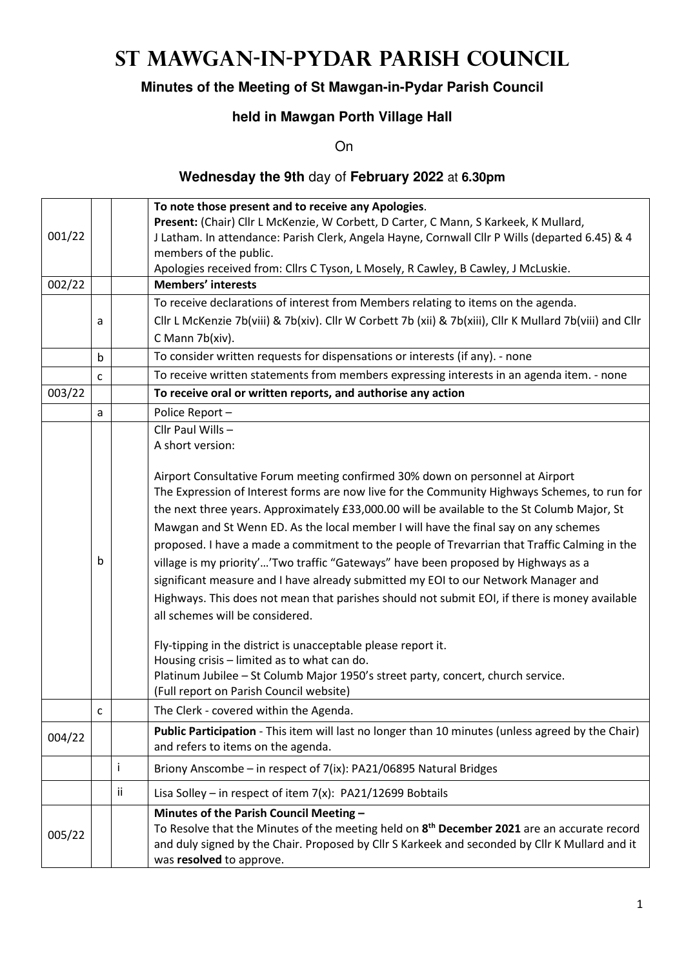# **St Mawgan-in-Pydar Parish Council**

## **Minutes of the Meeting of St Mawgan-in-Pydar Parish Council**

## **held in Mawgan Porth Village Hall**

**On** 

## **Wednesday the 9th** day of **February 2022** at **6.30pm**

|        |             |    | To note those present and to receive any Apologies.                                                      |
|--------|-------------|----|----------------------------------------------------------------------------------------------------------|
|        |             |    | Present: (Chair) Cllr L McKenzie, W Corbett, D Carter, C Mann, S Karkeek, K Mullard,                     |
| 001/22 |             |    | J Latham. In attendance: Parish Clerk, Angela Hayne, Cornwall Cllr P Wills (departed 6.45) & 4           |
|        |             |    | members of the public.                                                                                   |
|        |             |    | Apologies received from: Cllrs C Tyson, L Mosely, R Cawley, B Cawley, J McLuskie.                        |
| 002/22 |             |    | <b>Members' interests</b>                                                                                |
|        |             |    | To receive declarations of interest from Members relating to items on the agenda.                        |
|        | a           |    | Cllr L McKenzie 7b(viii) & 7b(xiv). Cllr W Corbett 7b (xii) & 7b(xiii), Cllr K Mullard 7b(viii) and Cllr |
|        |             |    | C Mann 7b(xiv).                                                                                          |
|        | $\mathsf b$ |    | To consider written requests for dispensations or interests (if any). - none                             |
|        | C           |    | To receive written statements from members expressing interests in an agenda item. - none                |
| 003/22 |             |    | To receive oral or written reports, and authorise any action                                             |
|        | a           |    | Police Report-                                                                                           |
|        |             |    | Cllr Paul Wills -                                                                                        |
|        |             |    | A short version:                                                                                         |
|        |             |    |                                                                                                          |
|        |             |    | Airport Consultative Forum meeting confirmed 30% down on personnel at Airport                            |
|        |             |    | The Expression of Interest forms are now live for the Community Highways Schemes, to run for             |
|        |             |    | the next three years. Approximately £33,000.00 will be available to the St Columb Major, St              |
|        |             |    | Mawgan and St Wenn ED. As the local member I will have the final say on any schemes                      |
|        |             |    | proposed. I have a made a commitment to the people of Trevarrian that Traffic Calming in the             |
|        | b           |    | village is my priority''Two traffic "Gateways" have been proposed by Highways as a                       |
|        |             |    | significant measure and I have already submitted my EOI to our Network Manager and                       |
|        |             |    | Highways. This does not mean that parishes should not submit EOI, if there is money available            |
|        |             |    | all schemes will be considered.                                                                          |
|        |             |    |                                                                                                          |
|        |             |    | Fly-tipping in the district is unacceptable please report it.                                            |
|        |             |    | Housing crisis - limited as to what can do.                                                              |
|        |             |    | Platinum Jubilee - St Columb Major 1950's street party, concert, church service.                         |
|        |             |    | (Full report on Parish Council website)                                                                  |
|        | C           |    | The Clerk - covered within the Agenda.                                                                   |
| 004/22 |             |    | Public Participation - This item will last no longer than 10 minutes (unless agreed by the Chair)        |
|        |             |    | and refers to items on the agenda.                                                                       |
|        |             | i  | Briony Anscombe - in respect of 7(ix): PA21/06895 Natural Bridges                                        |
|        |             | ii | Lisa Solley - in respect of item $7(x)$ : PA21/12699 Bobtails                                            |
|        |             |    | Minutes of the Parish Council Meeting -                                                                  |
| 005/22 |             |    | To Resolve that the Minutes of the meeting held on 8 <sup>th</sup> December 2021 are an accurate record  |
|        |             |    | and duly signed by the Chair. Proposed by Cllr S Karkeek and seconded by Cllr K Mullard and it           |
|        |             |    | was resolved to approve.                                                                                 |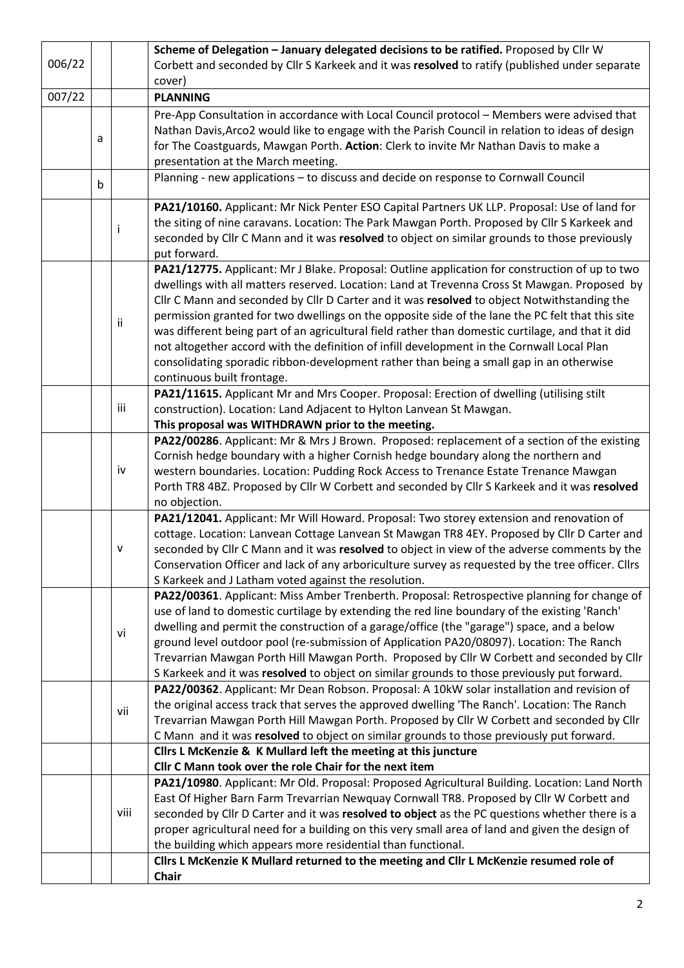|        |             |      | Scheme of Delegation - January delegated decisions to be ratified. Proposed by Cllr W                                 |
|--------|-------------|------|-----------------------------------------------------------------------------------------------------------------------|
| 006/22 |             |      | Corbett and seconded by Cllr S Karkeek and it was resolved to ratify (published under separate                        |
|        |             |      | cover)                                                                                                                |
| 007/22 |             |      | <b>PLANNING</b>                                                                                                       |
|        |             |      | Pre-App Consultation in accordance with Local Council protocol - Members were advised that                            |
|        |             |      | Nathan Davis, Arco2 would like to engage with the Parish Council in relation to ideas of design                       |
|        | a           |      | for The Coastguards, Mawgan Porth. Action: Clerk to invite Mr Nathan Davis to make a                                  |
|        |             |      | presentation at the March meeting.                                                                                    |
|        | $\mathsf b$ |      | Planning - new applications - to discuss and decide on response to Cornwall Council                                   |
|        |             |      |                                                                                                                       |
|        |             |      | PA21/10160. Applicant: Mr Nick Penter ESO Capital Partners UK LLP. Proposal: Use of land for                          |
|        |             | j    | the siting of nine caravans. Location: The Park Mawgan Porth. Proposed by Cllr S Karkeek and                          |
|        |             |      | seconded by Cllr C Mann and it was resolved to object on similar grounds to those previously                          |
|        |             |      | put forward.                                                                                                          |
|        |             |      | PA21/12775. Applicant: Mr J Blake. Proposal: Outline application for construction of up to two                        |
|        |             |      | dwellings with all matters reserved. Location: Land at Trevenna Cross St Mawgan. Proposed by                          |
|        |             |      | Cllr C Mann and seconded by Cllr D Carter and it was resolved to object Notwithstanding the                           |
|        |             | ii.  | permission granted for two dwellings on the opposite side of the lane the PC felt that this site                      |
|        |             |      | was different being part of an agricultural field rather than domestic curtilage, and that it did                     |
|        |             |      | not altogether accord with the definition of infill development in the Cornwall Local Plan                            |
|        |             |      | consolidating sporadic ribbon-development rather than being a small gap in an otherwise<br>continuous built frontage. |
|        |             |      | PA21/11615. Applicant Mr and Mrs Cooper. Proposal: Erection of dwelling (utilising stilt                              |
|        |             | iii  | construction). Location: Land Adjacent to Hylton Lanvean St Mawgan.                                                   |
|        |             |      | This proposal was WITHDRAWN prior to the meeting.                                                                     |
|        |             |      | PA22/00286. Applicant: Mr & Mrs J Brown. Proposed: replacement of a section of the existing                           |
|        |             |      | Cornish hedge boundary with a higher Cornish hedge boundary along the northern and                                    |
|        |             | iv   | western boundaries. Location: Pudding Rock Access to Trenance Estate Trenance Mawgan                                  |
|        |             |      | Porth TR8 4BZ. Proposed by Cllr W Corbett and seconded by Cllr S Karkeek and it was resolved                          |
|        |             |      | no objection.                                                                                                         |
|        |             |      | PA21/12041. Applicant: Mr Will Howard. Proposal: Two storey extension and renovation of                               |
|        |             |      | cottage. Location: Lanvean Cottage Lanvean St Mawgan TR8 4EY. Proposed by Cllr D Carter and                           |
|        |             | v    | seconded by Cllr C Mann and it was resolved to object in view of the adverse comments by the                          |
|        |             |      | Conservation Officer and lack of any arboriculture survey as requested by the tree officer. Cllrs                     |
|        |             |      | S Karkeek and J Latham voted against the resolution.                                                                  |
|        |             |      | PA22/00361. Applicant: Miss Amber Trenberth. Proposal: Retrospective planning for change of                           |
|        |             |      | use of land to domestic curtilage by extending the red line boundary of the existing 'Ranch'                          |
|        |             | vi   | dwelling and permit the construction of a garage/office (the "garage") space, and a below                             |
|        |             |      | ground level outdoor pool (re-submission of Application PA20/08097). Location: The Ranch                              |
|        |             |      | Trevarrian Mawgan Porth Hill Mawgan Porth. Proposed by Cllr W Corbett and seconded by Cllr                            |
|        |             |      | S Karkeek and it was resolved to object on similar grounds to those previously put forward.                           |
|        |             |      | PA22/00362. Applicant: Mr Dean Robson. Proposal: A 10kW solar installation and revision of                            |
|        |             | vii  | the original access track that serves the approved dwelling 'The Ranch'. Location: The Ranch                          |
|        |             |      | Trevarrian Mawgan Porth Hill Mawgan Porth. Proposed by Cllr W Corbett and seconded by Cllr                            |
|        |             |      | C Mann and it was resolved to object on similar grounds to those previously put forward.                              |
|        |             |      | Cllrs L McKenzie & K Mullard left the meeting at this juncture                                                        |
|        |             |      | Cllr C Mann took over the role Chair for the next item                                                                |
|        |             |      | PA21/10980. Applicant: Mr Old. Proposal: Proposed Agricultural Building. Location: Land North                         |
|        |             |      | East Of Higher Barn Farm Trevarrian Newquay Cornwall TR8. Proposed by Cllr W Corbett and                              |
|        |             | viii | seconded by Cllr D Carter and it was resolved to object as the PC questions whether there is a                        |
|        |             |      | proper agricultural need for a building on this very small area of land and given the design of                       |
|        |             |      | the building which appears more residential than functional.                                                          |
|        |             |      | Cllrs L McKenzie K Mullard returned to the meeting and Cllr L McKenzie resumed role of                                |
|        |             |      | Chair                                                                                                                 |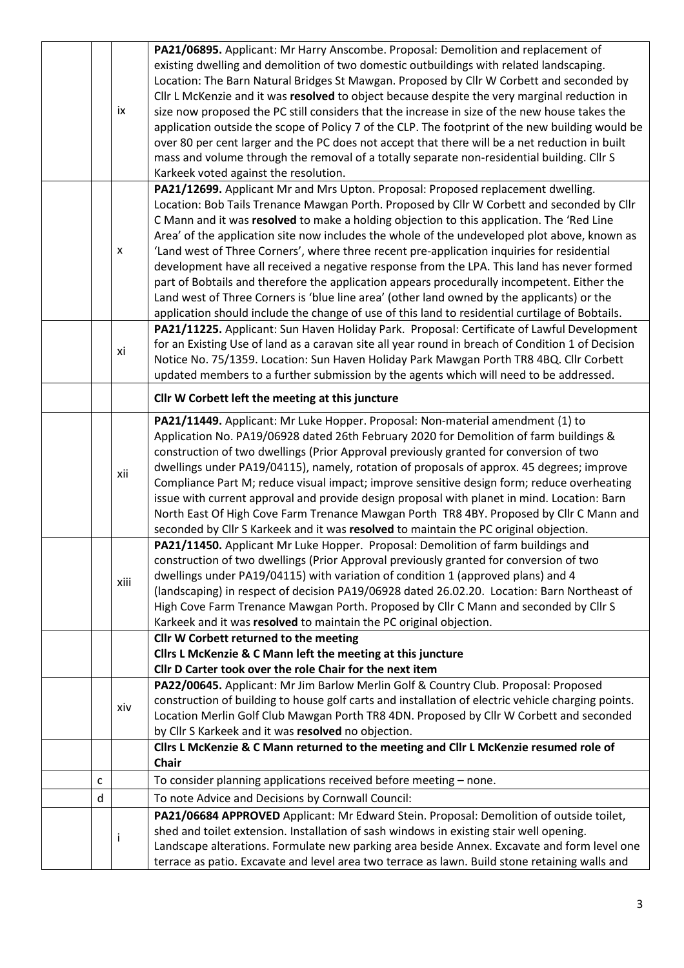|   |                           | PA21/06895. Applicant: Mr Harry Anscombe. Proposal: Demolition and replacement of                  |
|---|---------------------------|----------------------------------------------------------------------------------------------------|
|   |                           | existing dwelling and demolition of two domestic outbuildings with related landscaping.            |
|   |                           | Location: The Barn Natural Bridges St Mawgan. Proposed by Cllr W Corbett and seconded by           |
|   |                           | Cllr L McKenzie and it was resolved to object because despite the very marginal reduction in       |
|   | ix                        | size now proposed the PC still considers that the increase in size of the new house takes the      |
|   |                           | application outside the scope of Policy 7 of the CLP. The footprint of the new building would be   |
|   |                           | over 80 per cent larger and the PC does not accept that there will be a net reduction in built     |
|   |                           | mass and volume through the removal of a totally separate non-residential building. Cllr S         |
|   |                           |                                                                                                    |
|   |                           | Karkeek voted against the resolution.                                                              |
|   |                           | PA21/12699. Applicant Mr and Mrs Upton. Proposal: Proposed replacement dwelling.                   |
|   |                           | Location: Bob Tails Trenance Mawgan Porth. Proposed by Cllr W Corbett and seconded by Cllr         |
|   |                           | C Mann and it was resolved to make a holding objection to this application. The 'Red Line          |
|   |                           | Area' of the application site now includes the whole of the undeveloped plot above, known as       |
|   | $\boldsymbol{\mathsf{x}}$ | 'Land west of Three Corners', where three recent pre-application inquiries for residential         |
|   |                           | development have all received a negative response from the LPA. This land has never formed         |
|   |                           | part of Bobtails and therefore the application appears procedurally incompetent. Either the        |
|   |                           | Land west of Three Corners is 'blue line area' (other land owned by the applicants) or the         |
|   |                           | application should include the change of use of this land to residential curtilage of Bobtails.    |
|   |                           | PA21/11225. Applicant: Sun Haven Holiday Park. Proposal: Certificate of Lawful Development         |
|   |                           | for an Existing Use of land as a caravan site all year round in breach of Condition 1 of Decision  |
|   | xi                        | Notice No. 75/1359. Location: Sun Haven Holiday Park Mawgan Porth TR8 4BQ. Cllr Corbett            |
|   |                           | updated members to a further submission by the agents which will need to be addressed.             |
|   |                           | Cllr W Corbett left the meeting at this juncture                                                   |
|   |                           | PA21/11449. Applicant: Mr Luke Hopper. Proposal: Non-material amendment (1) to                     |
|   |                           | Application No. PA19/06928 dated 26th February 2020 for Demolition of farm buildings &             |
|   |                           | construction of two dwellings (Prior Approval previously granted for conversion of two             |
|   |                           | dwellings under PA19/04115), namely, rotation of proposals of approx. 45 degrees; improve          |
|   | xii                       | Compliance Part M; reduce visual impact; improve sensitive design form; reduce overheating         |
|   |                           | issue with current approval and provide design proposal with planet in mind. Location: Barn        |
|   |                           | North East Of High Cove Farm Trenance Mawgan Porth TR8 4BY. Proposed by Cllr C Mann and            |
|   |                           | seconded by Cllr S Karkeek and it was resolved to maintain the PC original objection.              |
|   |                           |                                                                                                    |
|   |                           |                                                                                                    |
|   |                           | PA21/11450. Applicant Mr Luke Hopper. Proposal: Demolition of farm buildings and                   |
|   |                           | construction of two dwellings (Prior Approval previously granted for conversion of two             |
|   | xiii                      | dwellings under PA19/04115) with variation of condition 1 (approved plans) and 4                   |
|   |                           | (landscaping) in respect of decision PA19/06928 dated 26.02.20. Location: Barn Northeast of        |
|   |                           | High Cove Farm Trenance Mawgan Porth. Proposed by Cllr C Mann and seconded by Cllr S               |
|   |                           | Karkeek and it was resolved to maintain the PC original objection.                                 |
|   |                           | Cllr W Corbett returned to the meeting                                                             |
|   |                           | Cllrs L McKenzie & C Mann left the meeting at this juncture                                        |
|   |                           | Cllr D Carter took over the role Chair for the next item                                           |
|   |                           | PA22/00645. Applicant: Mr Jim Barlow Merlin Golf & Country Club. Proposal: Proposed                |
|   |                           | construction of building to house golf carts and installation of electric vehicle charging points. |
|   | xiv                       | Location Merlin Golf Club Mawgan Porth TR8 4DN. Proposed by Cllr W Corbett and seconded            |
|   |                           | by Cllr S Karkeek and it was resolved no objection.                                                |
|   |                           | Cllrs L McKenzie & C Mann returned to the meeting and Cllr L McKenzie resumed role of              |
|   |                           | <b>Chair</b>                                                                                       |
| c |                           | To consider planning applications received before meeting - none.                                  |
| d |                           | To note Advice and Decisions by Cornwall Council:                                                  |
|   |                           | PA21/06684 APPROVED Applicant: Mr Edward Stein. Proposal: Demolition of outside toilet,            |
|   |                           | shed and toilet extension. Installation of sash windows in existing stair well opening.            |
|   | $\mathbf{I}$              | Landscape alterations. Formulate new parking area beside Annex. Excavate and form level one        |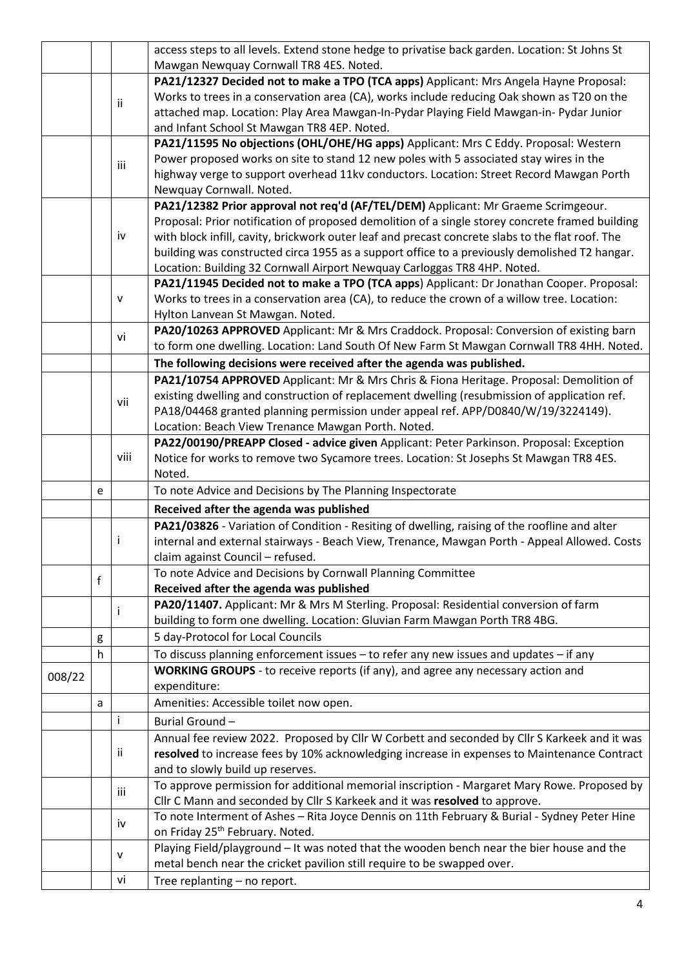|        |   |              | access steps to all levels. Extend stone hedge to privatise back garden. Location: St Johns St                                  |
|--------|---|--------------|---------------------------------------------------------------------------------------------------------------------------------|
|        |   |              | Mawgan Newquay Cornwall TR8 4ES. Noted.                                                                                         |
|        |   |              | PA21/12327 Decided not to make a TPO (TCA apps) Applicant: Mrs Angela Hayne Proposal:                                           |
|        |   | ii.          | Works to trees in a conservation area (CA), works include reducing Oak shown as T20 on the                                      |
|        |   |              | attached map. Location: Play Area Mawgan-In-Pydar Playing Field Mawgan-in- Pydar Junior                                         |
|        |   |              | and Infant School St Mawgan TR8 4EP. Noted.                                                                                     |
|        |   |              | PA21/11595 No objections (OHL/OHE/HG apps) Applicant: Mrs C Eddy. Proposal: Western                                             |
|        |   | iii          | Power proposed works on site to stand 12 new poles with 5 associated stay wires in the                                          |
|        |   |              | highway verge to support overhead 11kv conductors. Location: Street Record Mawgan Porth                                         |
|        |   |              | Newquay Cornwall. Noted.                                                                                                        |
|        |   |              | PA21/12382 Prior approval not req'd (AF/TEL/DEM) Applicant: Mr Graeme Scrimgeour.                                               |
|        |   |              | Proposal: Prior notification of proposed demolition of a single storey concrete framed building                                 |
|        |   | iv           | with block infill, cavity, brickwork outer leaf and precast concrete slabs to the flat roof. The                                |
|        |   |              | building was constructed circa 1955 as a support office to a previously demolished T2 hangar.                                   |
|        |   |              | Location: Building 32 Cornwall Airport Newquay Carloggas TR8 4HP. Noted.                                                        |
|        |   |              | PA21/11945 Decided not to make a TPO (TCA apps) Applicant: Dr Jonathan Cooper. Proposal:                                        |
|        |   | v            | Works to trees in a conservation area (CA), to reduce the crown of a willow tree. Location:                                     |
|        |   |              | Hylton Lanvean St Mawgan. Noted.                                                                                                |
|        |   | vi           | PA20/10263 APPROVED Applicant: Mr & Mrs Craddock. Proposal: Conversion of existing barn                                         |
|        |   |              | to form one dwelling. Location: Land South Of New Farm St Mawgan Cornwall TR8 4HH. Noted.                                       |
|        |   |              | The following decisions were received after the agenda was published.                                                           |
|        |   |              | PA21/10754 APPROVED Applicant: Mr & Mrs Chris & Fiona Heritage. Proposal: Demolition of                                         |
|        |   | vii          | existing dwelling and construction of replacement dwelling (resubmission of application ref.                                    |
|        |   |              | PA18/04468 granted planning permission under appeal ref. APP/D0840/W/19/3224149).                                               |
|        |   |              | Location: Beach View Trenance Mawgan Porth. Noted.                                                                              |
|        |   |              | PA22/00190/PREAPP Closed - advice given Applicant: Peter Parkinson. Proposal: Exception                                         |
|        |   | viii         | Notice for works to remove two Sycamore trees. Location: St Josephs St Mawgan TR8 4ES.                                          |
|        |   |              | Noted.                                                                                                                          |
|        | e |              | To note Advice and Decisions by The Planning Inspectorate                                                                       |
|        |   |              |                                                                                                                                 |
|        |   |              | Received after the agenda was published                                                                                         |
|        |   |              | PA21/03826 - Variation of Condition - Resiting of dwelling, raising of the roofline and alter                                   |
|        |   | T            | internal and external stairways - Beach View, Trenance, Mawgan Porth - Appeal Allowed. Costs                                    |
|        |   |              | claim against Council - refused.                                                                                                |
|        |   |              | To note Advice and Decisions by Cornwall Planning Committee                                                                     |
|        | f |              | Received after the agenda was published                                                                                         |
|        |   |              | PA20/11407. Applicant: Mr & Mrs M Sterling. Proposal: Residential conversion of farm                                            |
|        |   | $\mathbf{I}$ | building to form one dwelling. Location: Gluvian Farm Mawgan Porth TR8 4BG.                                                     |
|        | g |              | 5 day-Protocol for Local Councils                                                                                               |
|        | h |              | To discuss planning enforcement issues - to refer any new issues and updates - if any                                           |
|        |   |              | <b>WORKING GROUPS</b> - to receive reports (if any), and agree any necessary action and                                         |
| 008/22 |   |              | expenditure:                                                                                                                    |
|        | a |              | Amenities: Accessible toilet now open.                                                                                          |
|        |   | i            | Burial Ground-                                                                                                                  |
|        |   |              |                                                                                                                                 |
|        |   | ii.          | Annual fee review 2022. Proposed by Cllr W Corbett and seconded by Cllr S Karkeek and it was                                    |
|        |   |              | resolved to increase fees by 10% acknowledging increase in expenses to Maintenance Contract<br>and to slowly build up reserves. |
|        |   |              | To approve permission for additional memorial inscription - Margaret Mary Rowe. Proposed by                                     |
|        |   | iii          | Cllr C Mann and seconded by Cllr S Karkeek and it was resolved to approve.                                                      |
|        |   |              | To note Interment of Ashes - Rita Joyce Dennis on 11th February & Burial - Sydney Peter Hine                                    |
|        |   | iv           | on Friday 25 <sup>th</sup> February. Noted.                                                                                     |
|        |   |              | Playing Field/playground - It was noted that the wooden bench near the bier house and the                                       |
|        |   | v            | metal bench near the cricket pavilion still require to be swapped over.                                                         |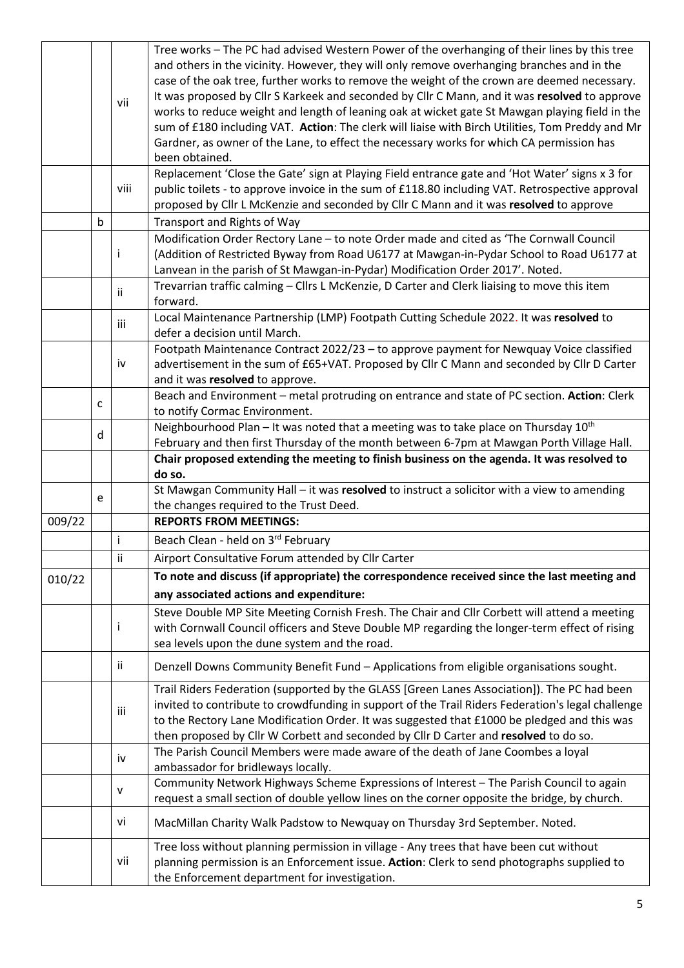|        |             |              | Tree works - The PC had advised Western Power of the overhanging of their lines by this tree      |
|--------|-------------|--------------|---------------------------------------------------------------------------------------------------|
|        |             |              | and others in the vicinity. However, they will only remove overhanging branches and in the        |
|        |             |              | case of the oak tree, further works to remove the weight of the crown are deemed necessary.       |
|        |             |              | It was proposed by Cllr S Karkeek and seconded by Cllr C Mann, and it was resolved to approve     |
|        |             | vii          | works to reduce weight and length of leaning oak at wicket gate St Mawgan playing field in the    |
|        |             |              | sum of £180 including VAT. Action: The clerk will liaise with Birch Utilities, Tom Preddy and Mr  |
|        |             |              | Gardner, as owner of the Lane, to effect the necessary works for which CA permission has          |
|        |             |              | been obtained.                                                                                    |
|        |             |              | Replacement 'Close the Gate' sign at Playing Field entrance gate and 'Hot Water' signs x 3 for    |
|        |             | viii         | public toilets - to approve invoice in the sum of £118.80 including VAT. Retrospective approval   |
|        |             |              | proposed by Cllr L McKenzie and seconded by Cllr C Mann and it was resolved to approve            |
|        | $\mathsf b$ |              |                                                                                                   |
|        |             |              | Transport and Rights of Way                                                                       |
|        |             |              | Modification Order Rectory Lane - to note Order made and cited as 'The Cornwall Council           |
|        |             | Ť            | (Addition of Restricted Byway from Road U6177 at Mawgan-in-Pydar School to Road U6177 at          |
|        |             |              | Lanvean in the parish of St Mawgan-in-Pydar) Modification Order 2017'. Noted.                     |
|        |             | ii.          | Trevarrian traffic calming - Cllrs L McKenzie, D Carter and Clerk liaising to move this item      |
|        |             |              | forward.                                                                                          |
|        |             | iii          | Local Maintenance Partnership (LMP) Footpath Cutting Schedule 2022. It was resolved to            |
|        |             |              | defer a decision until March.                                                                     |
|        |             |              | Footpath Maintenance Contract 2022/23 - to approve payment for Newquay Voice classified           |
|        |             | iv           | advertisement in the sum of £65+VAT. Proposed by ClIr C Mann and seconded by ClIr D Carter        |
|        |             |              | and it was resolved to approve.                                                                   |
|        |             |              | Beach and Environment - metal protruding on entrance and state of PC section. Action: Clerk       |
|        | C           |              | to notify Cormac Environment.                                                                     |
|        |             |              | Neighbourhood Plan - It was noted that a meeting was to take place on Thursday 10 <sup>th</sup>   |
|        | d           |              | February and then first Thursday of the month between 6-7pm at Mawgan Porth Village Hall.         |
|        |             |              | Chair proposed extending the meeting to finish business on the agenda. It was resolved to         |
|        |             |              | do so.                                                                                            |
|        |             |              | St Mawgan Community Hall - it was resolved to instruct a solicitor with a view to amending        |
|        | e           |              | the changes required to the Trust Deed.                                                           |
| 009/22 |             |              | <b>REPORTS FROM MEETINGS:</b>                                                                     |
|        |             | i            | Beach Clean - held on 3rd February                                                                |
|        |             |              |                                                                                                   |
|        |             | ii.          | Airport Consultative Forum attended by Cllr Carter                                                |
| 010/22 |             |              | To note and discuss (if appropriate) the correspondence received since the last meeting and       |
|        |             |              | any associated actions and expenditure:                                                           |
|        |             |              | Steve Double MP Site Meeting Cornish Fresh. The Chair and Cllr Corbett will attend a meeting      |
|        |             | Ť            | with Cornwall Council officers and Steve Double MP regarding the longer-term effect of rising     |
|        |             |              | sea levels upon the dune system and the road.                                                     |
|        |             |              |                                                                                                   |
|        |             | ii.          | Denzell Downs Community Benefit Fund - Applications from eligible organisations sought.           |
|        |             |              | Trail Riders Federation (supported by the GLASS [Green Lanes Association]). The PC had been       |
|        |             |              | invited to contribute to crowdfunding in support of the Trail Riders Federation's legal challenge |
|        |             | iii          | to the Rectory Lane Modification Order. It was suggested that £1000 be pledged and this was       |
|        |             |              | then proposed by Cllr W Corbett and seconded by Cllr D Carter and resolved to do so.              |
|        |             |              | The Parish Council Members were made aware of the death of Jane Coombes a loyal                   |
|        |             | iv           | ambassador for bridleways locally.                                                                |
|        |             |              | Community Network Highways Scheme Expressions of Interest - The Parish Council to again           |
|        |             | $\mathsf{v}$ | request a small section of double yellow lines on the corner opposite the bridge, by church.      |
|        |             |              |                                                                                                   |
|        |             | vi           | MacMillan Charity Walk Padstow to Newquay on Thursday 3rd September. Noted.                       |
|        |             |              | Tree loss without planning permission in village - Any trees that have been cut without           |
|        |             | vii          | planning permission is an Enforcement issue. Action: Clerk to send photographs supplied to        |
|        |             |              | the Enforcement department for investigation.                                                     |